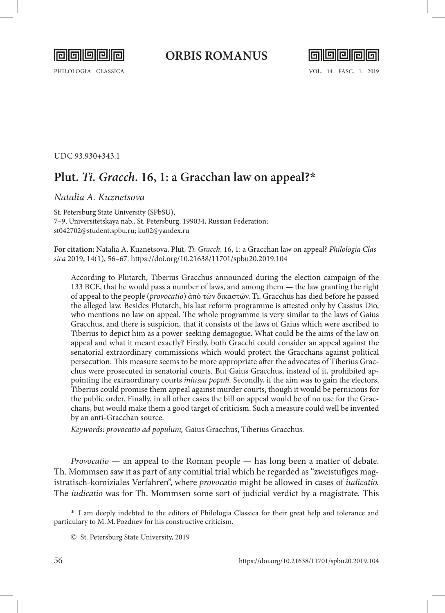

## **ORBIS ROMANUS**



UDC 93.930+343.1

## **Plut.** *Ti. Gracch***. 16, 1: a Gracchan law on appeal?\***

## *Natalia A. Kuznetsova*

St. Petersburg State University (SPbSU), 7–9, Universitetskaya nab., St. Petersburg, 199034, Russian Federation; st042702@student.spbu.ru; ku02@yandex.ru

**For citation:** Natalia A. Kuznetsova. Plut. *Ti. Gracch*. 16, 1: a Gracchan law on appeal? *Philologia Classica* 2019, 14(1), 56–67.<https://doi.org/10.21638/11701/spbu20.2019.104>

According to Plutarch, Tiberius Gracchus announced during the election campaign of the 133 BCE, that he would pass a number of laws, and among them — the law granting the right of appeal to the people (*provocatio*) ἀπὸ τῶν δικαστῶν. Ti. Gracchus has died before he passed the alleged law. Besides Plutarch, his last reform programme is attested only by Cassius Dio, who mentions no law on appeal. The whole programme is very similar to the laws of Gaius Gracchus, and there is suspicion, that it consists of the laws of Gaius which were ascribed to Tiberius to depict him as a power-seeking demagogue. What could be the aims of the law on appeal and what it meant exactly? Firstly, both Gracchi could consider an appeal against the senatorial extraordinary commissions which would protect the Gracchans against political persecution. This measure seems to be more appropriate after the advocates of Tiberius Gracchus were prosecuted in senatorial courts. But Gaius Gracchus, instead of it, prohibited appointing the extraordinary courts *iniussu populi.* Secondly, if the aim was to gain the electors, Tiberius could promise them appeal against murder courts, though it would be pernicious for the public order. Finally, in all other cases the bill on appeal would be of no use for the Gracchans, but would make them a good target of criticism. Such a measure could well be invented by an anti-Gracchan source.

*Keywords*: *provocatio ad populum,* Gaius Gracchus, Tiberius Gracchus.

*Provocatio* — an appeal to the Roman people — has long been a matter of debate. Th. Mommsen saw it as part of any comitial trial which he regarded as "zweistufiges magistratisch-komiziales Verfahren", where *provocatio* might be allowed in cases of *iudicatio.*  The *iudicatio* was for Th. Mommsen some sort of judicial verdict by a magistrate. This

<sup>\*</sup> I am deeply indebted to the editors of Philologia Classica for their great help and tolerance and particulary to M.M.Pozdnev for his constructive criticism.

<sup>©</sup> St. Petersburg State University, 2019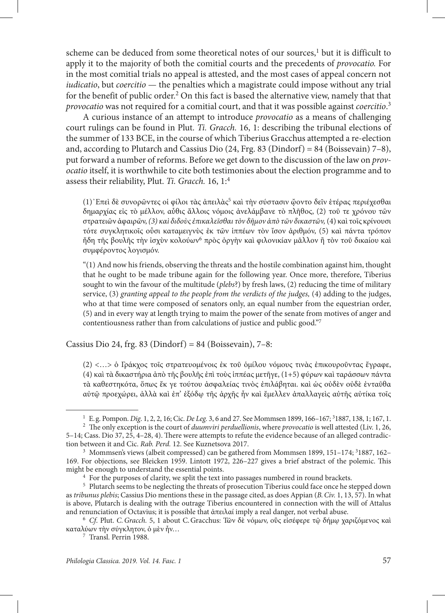scheme can be deduced from some theoretical notes of our sources,<sup>1</sup> but it is difficult to apply it to the majority of both the comitial courts and the precedents of *provocatio.* For in the most comitial trials no appeal is attested, and the most cases of appeal concern not *iudicatio*, but *coercitio* — the penalties which a magistrate could impose without any trial for the benefit of public order.<sup>2</sup> On this fact is based the alternative view, namely that that *provocatio* was not required for a comitial court, and that it was possible against *coercitio*. 3

A curious instance of an attempt to introduce *provocatio* as a means of challenging court rulings can be found in Plut. *Ti. Gracch.* 16, 1: describing the tribunal elections of the summer of 133 BCE, in the course of which Tiberius Gracchus attempted a re-election and, according to Plutarch and Cassius Dio  $(24, \text{Frg. } 83 \text{ (Dindorf)} = 84 \text{ (Boissevain)} 7-8)$ , put forward a number of reforms. Before we get down to the discussion of the law on *provocatio* itself, it is worthwhile to cite both testimonies about the election programme and to assess their reliability, Plut. *Ti. Gracch.* 16, 1:4

(1)᾿Επεὶ δὲ συνορῶντες οἱ φίλοι τὰς ἀπειλὰς5 καὶ τὴν σύστασιν ᾤοντο δεῖν ἑτέρας περιέχεσθαι δημαρχίας εἰς τὸ μέλλον, αὖθις ἄλλοις νόμοις ἀνελάμβανε τὸ πλῆθος, (2) τοῦ τε χρόνου τῶν στρατειῶν ἀφαιρῶν, *(3) καὶ διδοὺς ἐπικαλεῖσθαι τὸν δῆμον ἀπὸ τῶν δικαστῶν,* (4) καὶ τοῖς κρίνουσι τότε συγκλητικοῖς οὖσι καταμειγνὺς ἐκ τῶν ἱππέων τὸν ἴσον ἀριθμόν, (5) καὶ πάντα τρόπον ἤδη τῆς βουλῆς τὴν ἰσχὺν κολούων<sup>6</sup> πρὸς ὀργὴν καὶ φιλονικίαν μᾶλλον ἢ τὸν τοῦ δικαίου καὶ συμφέροντος λογισμόν.

"(1) And now his friends, observing the threats and the hostile combination against him, thought that he ought to be made tribune again for the following year. Once more, therefore, Tiberius sought to win the favour of the multitude (*plebs*?) by fresh laws, (2) reducing the time of military service, (3) *granting appeal to the people from the verdicts of the judges,* (4) adding to the judges, who at that time were composed of senators only, an equal number from the equestrian order, (5) and in every way at length trying to maim the power of the senate from motives of anger and contentiousness rather than from calculations of justice and public good."7

Cassius Dio 24, frg. 83 (Dindorf) = 84 (Boissevain),  $7-8$ :

(2) <…> ὁ Γράκχος τοῖς στρατευομένοις ἐκ τοῦ ὁμίλου νόμους τινὰς ἐπικουροῦντας ἔγραφε, (4) καὶ τὰ δικαστήρια ἀπὸ τῆς βουλῆς ἐπὶ τοὺς ἱππέας μετῆγε, (1+5) φύρων καὶ ταράσσων πάντα τὰ καθεστηκότα, ὅπως ἔκ γε τούτου ἀσφαλείας τινὸς ἐπιλάβηται. καὶ ὡς οὐδὲν οὐδὲ ἐνταῦθα αὐτῷ προεχώρει, ἀλλὰ καὶ ἐπ' ἐξόδῳ τῆς ἀρχῆς ἦν καὶ ἔμελλεν ἀπαλλαγεὶς αὐτῆς αὐτίκα τοῖς

<sup>1</sup> E.g. Pompon. *Dig*. 1, 2, 2, 16; Cic. *De Leg.* 3, 6 and 27. See Mommsen 1899, 166–167; 3

<sup>1887, 138, 1; 167, 1. 2</sup> The only exception is the court of *duumviri perduellionis*, where *provocatio* is well attested (Liv. 1, 26, 5–14; Cass. Dio 37, 25, 4–28, 4). There were attempts to refute the evidence because of an alleged contradiction between it and Cic. *Rab. Perd*. 12. See Kuznetsova 2017.<br><sup>3</sup> Mommsen's views (albeit compressed) can be gathered from Mommsen 1899, 151–174; <sup>3</sup>1887, 162–

<sup>169.</sup> For objections, see Bleicken 1959. Lintott 1972, 226–227 gives a brief abstract of the polemic. This

<sup>&</sup>lt;sup>4</sup> For the purposes of clarity, we split the text into passages numbered in round brackets.<br><sup>5</sup> Plutarch seems to be neglecting the threats of prosecution Tiberius could face once he stepped down as *tribunus plebis*; Cassius Dio mentions these in the passage cited, as does Appian (*B.Civ.* 1, 13, 57). In what is above, Plutarch is dealing with the outrage Tiberius encountered in connection with the will of Attalus and renunciation of Octavius; it is possible that ἀπειλαί imply a real danger, not verbal abuse.

<sup>6</sup> *Cf*. Plut. *C.Gracch.* 5, 1 about C.Gracchus: Τῶν δὲ νόμων, οὓς εἰσέφερε τῷ δήμῳ χαριζόμενος καὶ καταλύων τὴν σύγκλητον, ὁ μὲν ἦν…

<sup>7</sup> Transl. Perrin 1988.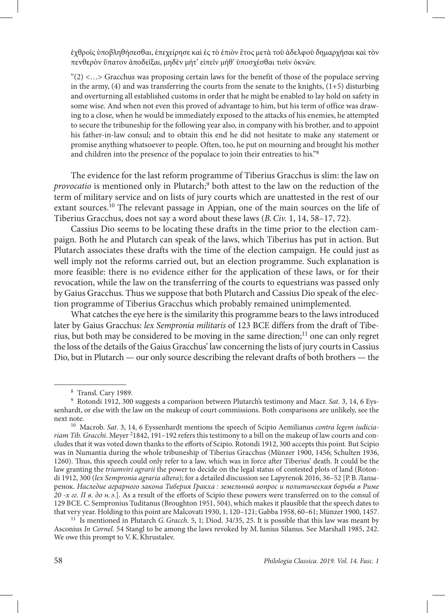ἐχθροῖς ὑποβληθήσεσθαι, ἐπεχείρησε καὶ ἐς τὸ ἐπιὸν ἔτος μετὰ τοῦ ἀδελφοῦ δημαρχῆσαι καὶ τὸν πενθερὸν ὕπατον ἀποδεῖξαι, μηδὲν μήτ' εἰπεῖν μήθ' ὑποσχέσθαι τισὶν ὀκνῶν.

" $(2)$  <...> Gracchus was proposing certain laws for the benefit of those of the populace serving in the army, (4) and was transferring the courts from the senate to the knights, (1+5) disturbing and overturning all established customs in order that he might be enabled to lay hold on safety in some wise. And when not even this proved of advantage to him, but his term of office was drawing to a close, when he would be immediately exposed to the attacks of his enemies, he attempted to secure the tribuneship for the following year also, in company with his brother, and to appoint his father-in-law consul; and to obtain this end he did not hesitate to make any statement or promise anything whatsoever to people. Often, too, he put on mourning and brought his mother and children into the presence of the populace to join their entreaties to his."8

The evidence for the last reform programme of Tiberius Gracchus is slim: the law on provocatio is mentioned only in Plutarch;<sup>9</sup> both attest to the law on the reduction of the term of military service and on lists of jury courts which are unattested in the rest of our extant sources.<sup>10</sup> The relevant passage in Appian, one of the main sources on the life of Tiberius Gracchus, does not say a word about these laws (*B.Civ.* 1, 14, 58–17, 72).

Cassius Dio seems to be locating these drafts in the time prior to the election campaign. Both he and Plutarch can speak of the laws, which Tiberius has put in action. But Plutarch associates these drafts with the time of the election campaign. He could just as well imply not the reforms carried out, but an election programme. Such explanation is more feasible: there is no evidence either for the application of these laws, or for their revocation, while the law on the transferring of the courts to equestrians was passed only by Gaius Gracchus. Thus we suppose that both Plutarch and Cassius Dio speak of the election programme of Tiberius Gracchus which probably remained unimplemented.

What catches the eye here is the similarity this programme bears to the laws introduced later by Gaius Gracchus: *lex Sempronia militaris* of 123 BCE differs from the draft of Tiberius, but both may be considered to be moving in the same direction; $^{11}$  one can only regret the loss of the details of the Gaius Gracchus' law concerning the lists of jury courts in Cassius Dio, but in Plutarch — our only source describing the relevant drafts of both brothers — the

<sup>11</sup> Is mentioned in Plutarch *G. Gracch.* 5, 1; Diod. 34/35, 25. It is possible that this law was meant by Asconius *In Cornel.* 54 Stangl to be among the laws revoked by M.Iunius Silanus. See Marshall 1985, 242. We owe this prompt to V.K. Khrustalev.

<sup>&</sup>lt;sup>8</sup> Transl. Cary 1989.<br><sup>9</sup> Rotondi 1912, 300 suggests a comparison between Plutarch's testimony and Macr. *Sat.* 3, 14, 6 Eyssenhardt, or else with the law on the makeup of court commissions. Both comparisons are unlikely, see the next note.

<sup>10</sup> Macrob. *Sat*. 3, 14, 6 Eyssenhardt mentions the speech of Scipio Aemilianus *contra legem iudicia*riam Tib. Gracchi. Meyer <sup>2</sup>1842, 191-192 refers this testimony to a bill on the makeup of law courts and concludes that it was voted down thanks to the efforts of Scipio. Rotondi 1912, 300 accepts this point. But Scipio was in Numantia during the whole tribuneship of Tiberius Gracchus (Münzer 1900, 1456; Schulten 1936, 1260). Thus, this speech could only refer to a law, which was in force after Tiberius' death. It could be the law granting the *triumviri agrarii* the power to decide on the legal status of contested plots of land (Rotondi 1912, 300 (*lex Sempronia agraria altera*); for a detailed discussion see Lapyrenok 2016, 36–52 [Р.В.Лапыренок. *Наследие аграрного закона Тиберия Гракха : земельный вопрос и политическая борьба в Риме 20 -х гг. II в. до н. э.*]. As a result of the efforts of Scipio these powers were transferred on to the consul of 129 BCE. C. Sempronius Tuditanus (Broughton 1951, 504), which makes it plausible that the speech dates to that very year. Holding to this point are Malcovati 1930, 1, 120-121; Gabba 1958, 60-61; Münzer 1900, 1457.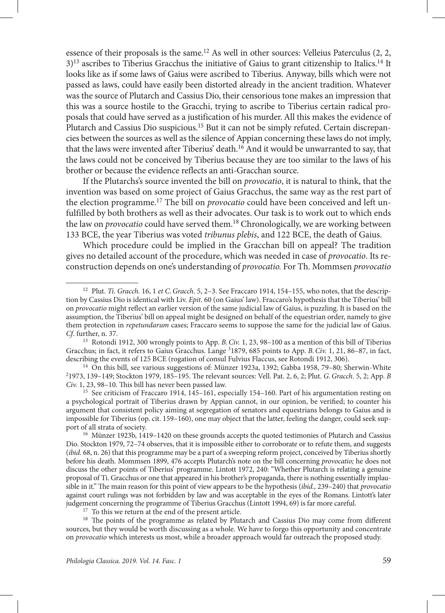essence of their proposals is the same.<sup>12</sup> As well in other sources: Velleius Paterculus  $(2, 2, 3)$  $3$ <sup>13</sup> ascribes to Tiberius Gracchus the initiative of Gaius to grant citizenship to Italics.<sup>14</sup> It looks like as if some laws of Gaius were ascribed to Tiberius. Anyway, bills which were not passed as laws, could have easily been distorted already in the ancient tradition. Whatever was the source of Plutarch and Cassius Dio, their censorious tone makes an impression that this was a source hostile to the Gracchi, trying to ascribe to Tiberius certain radical proposals that could have served as a justification of his murder.All this makes the evidence of Plutarch and Cassius Dio suspicious.15 But it can not be simply refuted. Certain discrepancies between the sources as well as the silence of Appian concerning these laws do not imply, that the laws were invented after Tiberius' death.<sup>16</sup> And it would be unwarranted to say, that the laws could not be conceived by Tiberius because they are too similar to the laws of his brother or because the evidence reflects an anti-Gracchan source.

If the Plutarchs's source invented the bill on *provocatio*, it is natural to think, that the invention was based on some project of Gaius Gracchus, the same way as the rest part of the election programme.17 The bill on *provocatio* could have been conceived and left unfulfilled by both brothers as well as their advocates. Our task is to work out to which ends the law on *provocatio* could have served them.18 Chronologically, we are working between 133 BCE, the year Tiberius was voted *tribunus plebis*, and 122 BCE, the death of Gaius.

Which procedure could be implied in the Gracchan bill on appeal? The tradition gives no detailed account of the procedure, which was needed in case of *provocatio*. Its reconstruction depends on one's understanding of *provocatio.* For Th. Mommsen *provocatio*

<sup>12</sup> Plut. *Ti. Gracch.* 16, 1 *et C.Gracch*. 5, 2–3. See Fraccaro 1914, 154–155, who notes, that the description by Cassius Dio is identical with Liv. *Epit.* 60 (on Gaius' law). Fraccaro's hypothesis that the Tiberius' bill on *provocatio* might reflect an earlier version of the same judicial law of Gaius, is puzzling. It is based on the assumption, the Tiberius' bill on appeal might be designed on behalf of the equestrian order, namely to give them protection in *repetundarum* cases; Fraccaro seems to suppose the same for the judicial law of Gaius.<br>Cf. further, n. 37.

<sup>&</sup>lt;sup>13</sup> Rotondi 1912, 300 wrongly points to App. *B. Civ.* 1, 23, 98–100 as a mention of this bill of Tiberius Gracchus; in fact, it refers to Gaius Gracchus. Lange <sup>3</sup>1879, 685 points to App. *B. Civ.* 1, 21, 86-87, in fact, describing the events of 125 BCE (rogation of consul Fulvius Flaccus, see Rotondi 1912, 306).<br><sup>14</sup> On this bill, see various suggestions of: Münzer 1923a, 1392; Gabba 1958, 79–80; Sherwin-White

<sup>1973, 139–149;</sup> Stockton 1979, 185–195. The relevant sources: Vell. Pat. 2, 6, 2; Plut. *G.Gracch.* 5, 2; App. *B Civ.* 1, 23, 98–10. This bill has never been passed law.

<sup>&</sup>lt;sup>15</sup> See criticism of Fraccaro 1914, 145–161, especially 154–160. Part of his argumentation resting on a psychological portrait of Tiberius drawn by Appian cannot, in our opinion, be verified; to counter his argument that consistent policy aiming at segregation of senators and equestrians belongs to Gaius and is impossible for Tiberius (op. cit. 159–160), one may object that the latter, feeling the danger, could seek sup-

<sup>&</sup>lt;sup>16</sup> Münzer 1923b, 1419–1420 on these grounds accepts the quoted testimonies of Plutarch and Cassius Dio. Stockton 1979, 72–74 observes, that it is impossible either to corroborate or to refute them, and suggests (*ibid.* 68, n. 26) that this programme may be a part of a sweeping reform project, conceived by Tiberius shortly before his death. Mommsen 1899, 476 accepts Plutarch's note on the bill concerning *provocatio;* he does not discuss the other points of Tiberius' programme. Lintott 1972, 240: "Whether Plutarch is relating a genuine proposal of Ti. Gracchus or one that appeared in his brother's propaganda, there is nothing essentially implausible in it." The main reason for this point of view appears to be the hypothesis (*ibid.,* 239–240) that *provocatio* against court rulings was not forbidden by law and was acceptable in the eyes of the Romans. Lintott's later judgement concerning the programme of Tiberius Gracchus (Lintott 1994, 69) is far more careful. 17 To this we return at the end of the present article.

<sup>&</sup>lt;sup>18</sup> The points of the programme as related by Plutarch and Cassius Dio may come from different sources, but they would be worth discussing as a whole. We have to forgo this opportunity and concentrate on *provocatio* which interests us most, while a broader approach would far outreach the proposed study.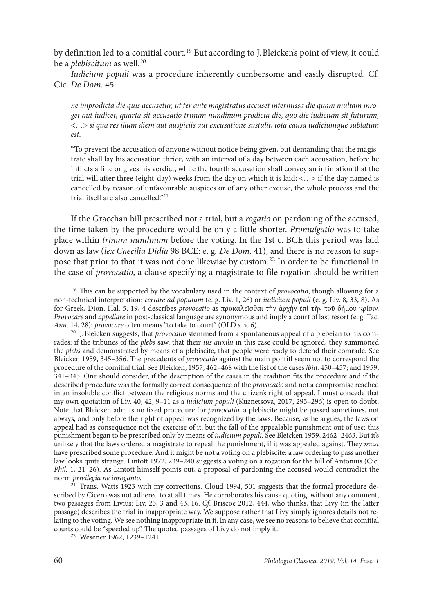by definition led to a comitial court.<sup>19</sup> But according to J. Bleicken's point of view, it could be a *plebiscitum* as well.*<sup>20</sup>*

*Iudicium populi* was a procedure inherently cumbersome and easily disrupted. Cf. Cic. *De Dom.* 45:

*ne improdicta die quis accusetur, ut ter ante magistratus accuset intermissa die quam multam inroget aut iudicet, quarta sit accusatio trinum nundinum prodicta die, quo die iudicium sit futurum, <…> si qua res illum diem aut auspiciis aut excusatione sustulit, tota causa iudiciumque sublatum est*.

"To prevent the accusation of anyone without notice being given, but demanding that the magistrate shall lay his accusation thrice, with an interval of a day between each accusation, before he inflicts a fine or gives his verdict, while the fourth accusation shall convey an intimation that the trial will after three (eight-day) weeks from the day on which it is laid; <…> if the day named is cancelled by reason of unfavourable auspices or of any other excuse, the whole process and the trial itself are also cancelled."21

If the Gracchan bill prescribed not a trial, but a *rogatio* on pardoning of the accused, the time taken by the procedure would be only a little shorter. *Promulgatio* was to take place within *trinum nundinum* before the voting. In the 1st c. BCE this period was laid down as law (*lex Caecilia Didia* 98 BCE: e. g*. De Dom.* 41), and there is no reason to suppose that prior to that it was not done likewise by custom.<sup>22</sup> In order to be functional in the case of *provocatio*, a clause specifying a magistrate to file rogation should be written

<sup>19</sup> This can be supported by the vocabulary used in the context of *provocatio*, though allowing for a non-technical interpretation: *certare ad populum* (e. g. Liv. 1, 26) or *iudicium populi* (e. g. Liv. 8, 33, 8). As for Greek, Dion. Hal. 5, 19, 4 describes *provocatio* as προκαλεῖσθαι τὴν ἀρχὴν ἐπὶ τὴν τοῦ δήμου κρίσιν. *Provocare* and *appellare* in post-classical language are synonymous and imply a court of last resort (e. g. Tac.

<sup>&</sup>lt;sup>20</sup> J. Bleicken suggests, that *provocatio* stemmed from a spontaneous appeal of a plebeian to his comrades: if the tribunes of the *plebs* saw, that their *ius auxilii* in this case could be ignored, they summoned the *plebs* and demonstrated by means of a plebiscite, that people were ready to defend their comrade. See Bleicken 1959, 345–356. The precedents of *provocatio* against the main pontiff seem not to correspond the procedure of the comitial trial. See Bleicken, 1957, 462–468 with the list of the cases *ibid*. 450–457; and 1959, 341–345. One should consider, if the description of the cases in the tradition fits the procedure and if the described procedure was the formally correct consequence of the *provocatio* and not a compromise reached in an insoluble conflict between the religious norms and the citizen's right of appeal. I must concede that my own quotation of Liv. 40, 42, 9–11 as a *iudicium populi* (Kuznetsova, 2017, 295–296) is open to doubt. Note that Bleicken admits no fixed procedure for *provocatio*; a plebiscite might be passed sometimes, not always, and only before the right of appeal was recognized by the laws. Because, as he argues, the laws on appeal had as consequence not the exercise of it, but the fall of the appealable punishment out of use: this punishment began to be prescribed only by means of *iudicium populi.* See Bleicken 1959, 2462–2463. But it's unlikely that the laws ordered a magistrate to repeal the punishment, if it was appealed against. They *must* have prescribed some procedure. And it might be not a voting on a plebiscite: a law ordering to pass another law looks quite strange. Lintott 1972, 239–240 suggests a voting on a rogation for the bill of Antonius (Cic. *Phil.* 1, 21–26). As Lintott himself points out, a proposal of pardoning the accused would contradict the norm *privilegia ne inroganto.*

 $21$  Trans. Watts 1923 with my corrections. Cloud 1994, 501 suggests that the formal procedure described by Cicero was not adhered to at all times. He corroborates his cause quoting, without any comment, two passages from Livius: Liv. 25, 3 and 43, 16. *Cf*. Briscoe 2012, 444, who thinks, that Livy (in the latter passage) describes the trial in inappropriate way. We suppose rather that Livy simply ignores details not relating to the voting. We see nothing inappropriate in it. In any case, we see no reasons to believe that comitial courts could be "speeded up". The quoted passages of Livy do not imply it.

<sup>22</sup> Wesener 1962, 1239–1241.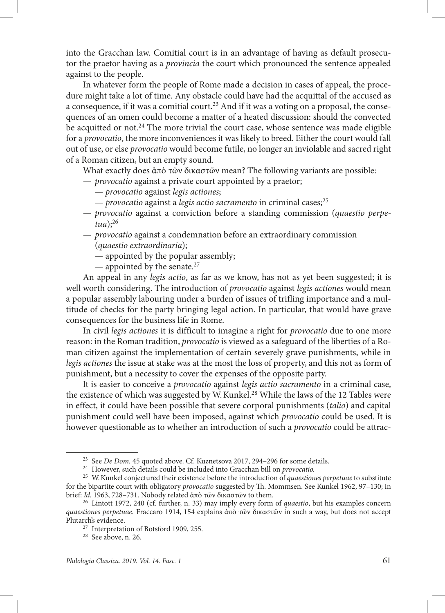into the Gracchan law. Comitial court is in an advantage of having as default prosecutor the praetor having as a *provincia* the court which pronounced the sentence appealed against to the people.

In whatever form the people of Rome made a decision in cases of appeal, the procedure might take a lot of time. Any obstacle could have had the acquittal of the accused as a consequence, if it was a comitial court.<sup>23</sup> And if it was a voting on a proposal, the consequences of an omen could become a matter of a heated discussion: should the convected be acquitted or not.<sup>24</sup> The more trivial the court case, whose sentence was made eligible for a *provocatio*, the more inconveniences it was likely to breed. Either the court would fall out of use, or else *provocatio* would become futile, no longer an inviolable and sacred right of a Roman citizen, but an empty sound.

What exactly does ἀπὸ τῶν δικαστῶν mean? The following variants are possible:

- *provocatio* against a private court appointed by a praetor;
	- *provocatio* against *legis actiones*;
	- — *provocatio* against a *legis actio sacramento* in criminal cases;25
- *provocatio* against a conviction before a standing commission (*quaestio perpetua*);26
- *provocatio* against a condemnation before an extraordinary commission (*quaestio extraordinaria*);
	- appointed by the popular assembly;
	- appointed by the senate.<sup>27</sup>

An appeal in any *legis actio*, as far as we know, has not as yet been suggested; it is well worth considering. The introduction of *provocatio* against *legis actiones* would mean a popular assembly labouring under a burden of issues of trifling importance and a multitude of checks for the party bringing legal action. In particular, that would have grave consequences for the business life in Rome.

In civil *legis actiones* it is difficult to imagine a right for *provocatio* due to one more reason: in the Roman tradition, *provocatio* is viewed as a safeguard of the liberties of a Roman citizen against the implementation of certain severely grave punishments, while in *legis actiones* the issue at stake was at the most the loss of property, and this not as form of punishment, but a necessity to cover the expenses of the opposite party.

It is easier to conceive a *provocatio* against *legis actio sacramento* in a criminal case, the existence of which was suggested by W. Kunkel.<sup>28</sup> While the laws of the 12 Tables were in effect, it could have been possible that severe corporal punishments (*talio*) and capital punishment could well have been imposed, against which *provocatio* could be used. It is however questionable as to whether an introduction of such a *provocatio* could be attrac-

<sup>23</sup> See *De Dom.* 45 quoted above. Cf. Kuznetsova 2017, 294–296 for some details. 24 However, such details could be included into Gracchan bill on *provocatio.* 

<sup>25</sup> W.Kunkel conjectured their existence before the introduction of *quaestiones perpetuae* to substitute for the bipartite court with obligatory *provocatio* suggested by Th. Mommsen. See Kunkel 1962, 97–130; in brief: *Id.* 1963, 728–731. Nobody related ἀπὸ τῶν δικαστῶν to them.

<sup>26</sup> Lintott 1972, 240 (cf. further, n. 33) may imply every form of *quaestio*, but his examples concern *quaestiones perpetuae.* Fraccaro 1914, 154 explains ἀπὸ τῶν δικαστῶν in such a way, but does not accept Plutarch's evidence. 27 Interpretation of Botsford 1909, 255. 28 See above, n. 26.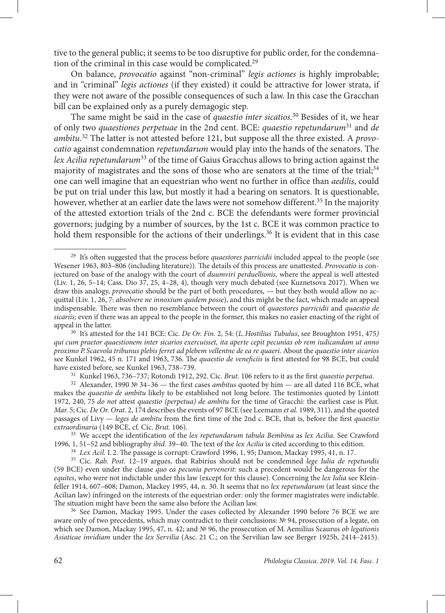tive to the general public; it seems to be too disruptive for public order, for the condemnation of the criminal in this case would be complicated.<sup>29</sup>

On balance, *provocatio* against "non-criminal" *legis actiones* is highly improbable; and in "criminal" *legis actiones* (if they existed) it could be attractive for lower strata, if they were not aware of the possible consequences of such a law. In this case the Gracchan bill can be explained only as a purely demagogic step.

The same might be said in the case of *quaestio inter sicatios.*30 Besides of it, we hear of only two *quaestiones perpetuae* in the 2nd cent. BCE: *quaestio repetundarum*<sup>31</sup> and *de ambitu*. 32 The latter is not attested before 121, but suppose all the three existed. A *provocatio* against condemnation *repetundarum* would play into the hands of the senators. The *lex Acilia repetundarum*33 of the time of Gaius Gracchus allows to bring action against the majority of magistrates and the sons of those who are senators at the time of the trial; $34$ one can well imagine that an equestrian who went no further in office than *aedilis*, could be put on trial under this law, but mostly it had a bearing on senators. It is questionable, however, whether at an earlier date the laws were not somehow different.<sup>35</sup> In the majority of the attested extortion trials of the 2nd c. BCE the defendants were former provincial governors; judging by a number of sources, by the 1st c. BCE it was common practice to hold them responsible for the actions of their underlings.<sup>36</sup> It is evident that in this case

<sup>&</sup>lt;sup>29</sup> It's often suggested that the process before *quaestores parricidii* included appeal to the people (see Wesener 1963, 803–806 (including literature)). The details of this process are unattested. *Provocatio* is conjectured on base of the analogy with the court of *duumviri perduellionis,* where the appeal is well attested (Liv. 1, 26, 5–14; Cass. Dio 37, 25, 4–28, 4), though very much debated (see Kuznetsova 2017). When we draw this analogy, *provocatio* should be the part of both procedures, — but they both would allow no acquittal (Liv. 1, 26, 7: *absolvere ne innoxium quidem posse*), and this might be the fact, which made an appeal indispensable. There was then no resemblance between the court of *quaestores parricidii* and *quaestio de sicariis;* even if there was an appeal to the people in the former, this makes no easier enacting of the right of appeal in the latter.

<sup>30</sup> It's attested for the 141 BCE: Cic. *De Or. Fin.* 2, 54: (*L.Hostilius Tubulus*, see Broughton 1951, 475*) qui cum praetor quaestionem inter sicarios exercuisset, ita aperte cepit pecunias ob rem iudicandam ut anno proximo P. Scaevola tribunus plebis ferret ad plebem vellentne de ea re quaeri*. About the *quaestio inter sicarios* see Kunkel 1962, 45 n. 171 and 1963, 736. The *quaestio de veneficiis* is first attested for 98 BCE, but could

have existed before, see Kunkel 1963, 738–739. 31 Kunkel 1963, 736–737; Rotondi 1912, 292. Cic. *Brut*. 106 refers to it as the first *quaestio perpetua*.

<sup>32</sup> Alexander, 1990 № 34–36 — the first cases *ambitus* quoted by him — are all dated 116 BCE, what makes the *quaestio de ambitu* likely to be established not long before. The testimonies quoted by Lintott 1972, 240, 75 *do not* attest *quaestio (perpetua) de ambitu* for the time of Gracchi: the earliest case is Plut. *Mar.* 5; Cic. *De Or. Orat*. 2, 174 describes the events of 97 BCE (see Leemann *et al.* 1989, 311), and the quoted passages of Livy — *leges de ambitu* from the first time of the 2nd c. BCE, that is, before the first *quaestio* 

<sup>&</sup>lt;sup>33</sup> We accept the identification of the *lex repetundarum tabula Bembina* as *lex Acilia*. See Crawford 1996, 1, 51–52 and bibliography *ibid.* 39–40. The text of the *lex Acilia* is cited according to this edition.

<sup>&</sup>lt;sup>34</sup> Lex Acil. I. 2. The passage is corrupt: Crawford 1996, 1, 95; Damon, Mackay 1995, 41, n. 17.<br><sup>35</sup> Cic. *Rab. Post.* 12–19 argues, that Rabirius should not be condemned *lege Iulia de repetundis* (59 BCE) even under the clause *quo ea pecunia pervenerit*: such a precedent would be dangerous for the *equites*, who were not indictable under this law (except for this clause). Concerning the *lex Iulia* see Kleinfeller 1914, 607–608; Damon, Mackey 1995, 44, n. 30. It seems that no *lex repetundarum* (at least since the Acilian law) infringed on the interests of the equestrian order: only the former magistrates were indictable.<br>The situation might have been the same also before the Acilian law.

<sup>&</sup>lt;sup>36</sup> See Damon, Mackay 1995. Under the cases collected by Alexander 1990 before 76 BCE we are aware only of two precedents, which may contradict to their conclusions: № 94, prosecution of a legate, on which see Damon, Mackay 1995, 47, n. 42; and № 96, the prosecution of M.Aemilius Scaurus *ob legationis Asiaticae invidiam* under the *lex Servilia* (Asc. 21 C.; on the Servilian law see Berger 1925b, 2414–2415).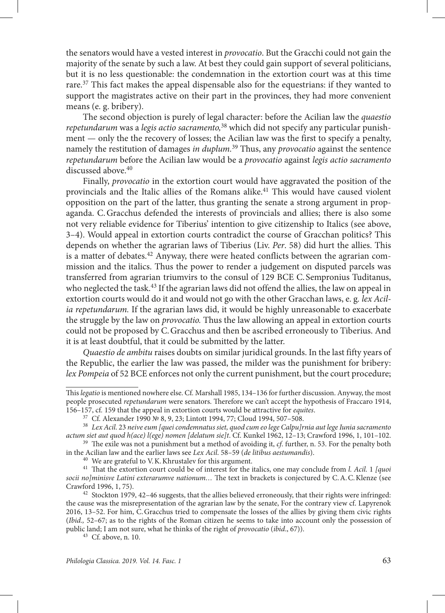the senators would have a vested interest in *provocatio*. But the Gracchi could not gain the majority of the senate by such a law. At best they could gain support of several politicians, but it is no less questionable: the condemnation in the extortion court was at this time rare.<sup>37</sup> This fact makes the appeal dispensable also for the equestrians: if they wanted to support the magistrates active on their part in the provinces, they had more convenient means (e. g. bribery).

The second objection is purely of legal character: before the Acilian law the *quaestio repetundarum* was a *legis actio sacramento,*<sup>38</sup> which did not specify any particular punishment — only the the recovery of losses; the Acilian law was the first to specify a penalty, namely the restitution of damages *in duplum.*39 Thus, any *provocatio* against the sentence *repetundarum* before the Acilian law would be a *provocatio* against *legis actio sacramento* discussed above.<sup>40</sup>

Finally, *provocatio* in the extortion court would have aggravated the position of the provincials and the Italic allies of the Romans alike.<sup>41</sup> This would have caused violent opposition on the part of the latter, thus granting the senate a strong argument in propaganda. C.Gracchus defended the interests of provincials and allies; there is also some not very reliable evidence for Tiberius' intention to give citizenship to Italics (see above, 3–4). Would appeal in extortion courts contradict the course of Gracchan politics? This depends on whether the agrarian laws of Tiberius (Liv. *Per*. 58) did hurt the allies. This is a matter of debates.<sup>42</sup> Anyway, there were heated conflicts between the agrarian commission and the italics. Thus the power to render a judgement on disputed parcels was transferred from agrarian triumvirs to the consul of 129 BCE C. Sempronius Tuditanus, who neglected the task.<sup>43</sup> If the agrarian laws did not offend the allies, the law on appeal in extortion courts would do it and would not go with the other Gracchan laws, e. g*. lex Acilia repetundarum.* If the agrarian laws did, it would be highly unreasonable to exacerbate the struggle by the law on *provocatio.* Thus the law allowing an appeal in extortion courts could not be proposed by C.Gracchus and then be ascribed erroneously to Tiberius. And it is at least doubtful, that it could be submitted by the latter.

*Quaestio de ambitu* raises doubts on similar juridical grounds. In the last fifty years of the Republic, the earlier the law was passed, the milder was the punishment for bribery: *lex Pompeia* of 52 BCE enforces not only the current punishment, but the court procedure;

This *legatio* is mentioned nowhere else. Cf*.* Marshall 1985, 134–136 for further discussion. Anyway, the most people prosecuted *repetundarum* were senators. Therefore we can't accept the hypothesis of Fraccaro 1914,

<sup>&</sup>lt;sup>37</sup> Cf. Alexander 1990 № 8, 9, 23; Lintott 1994, 77; Cloud 1994, 507–508.<br><sup>38</sup> Lex Acil. 23 neive eum [quei condemnatus siet, quod cum eo lege Calpu]rnia aut lege Iunia sacramento actum siet aut quod h(ace) l(ege) nomen

<sup>&</sup>lt;sup>39</sup> The exile was not a punishment but a method of avoiding it, *cf*. further, n. 53. For the penalty both in the Acilian law and the earlier laws see *Lex Acil*. 58–59 (*de litibus aestumandis*).

<sup>&</sup>lt;sup>41</sup> That the extortion court could be of interest for the italics, one may conclude from *l. Acil.* 1 *[quoi socii no]minisve Latini exterarumve nationum…* The text in brackets is conjectured by C.А.C.Klenze (see

 $42$  Stockton 1979, 42-46 suggests, that the allies believed erroneously, that their rights were infringed: the cause was the misrepresentation of the agrarian law by the senate, For the contrary view cf. Lapyrenok 2016, 13–52. For him, C.Gracchus tried to compensate the losses of the allies by giving them civic rights (*Ibid.,* 52–67; as to the rights of the Roman citizen he seems to take into account only the possession of public land; I am not sure, what he thinks of the right of *provocatio* (*ibid*., 67)). 43 Cf. above, n. 10.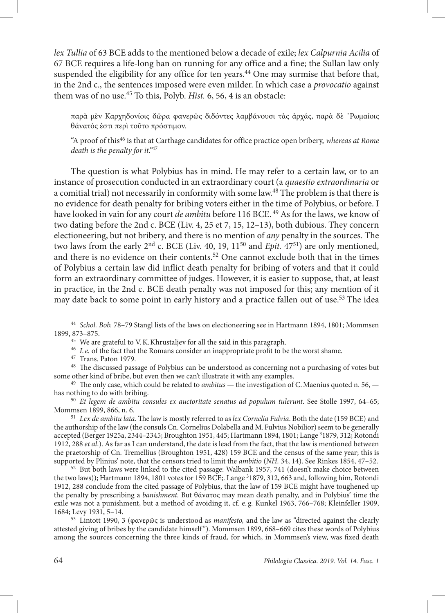*lex Tullia* of 63 BCE adds to the mentioned below a decade of exile; *lex Calpurnia Acilia* of 67 BCE requires a life-long ban on running for any office and a fine; the Sullan law only suspended the eligibility for any office for ten years.<sup>44</sup> One may surmise that before that, in the 2nd c., the sentences imposed were even milder. In which case a *provocatio* against them was of no use.45 To this, Polyb. *Hist.* 6, 56, 4 is an obstacle:

παρὰ μὲν Καρχηδονίοις δῶρα φανερῶς διδόντες λαμβάνουσι τὰς ἀρχάς, παρὰ δὲ ῾Ρωμαίοις θάνατός ἐστι περὶ τοῦτο πρόστιμον.

"A proof of this46 is that at Carthage candidates for office practice open bribery, *whereas at Rome death is the penalty for it."*<sup>47</sup>

The question is what Polybius has in mind. He may refer to a certain law, or to an instance of prosecution conducted in an extraordinary court (a *quaestio extraordinaria* or a comitial trial) not necessarily in conformity with some law.48 The problem is that there is no evidence for death penalty for bribing voters either in the time of Polybius, or before. I have looked in vain for any court *de ambitu* before 116 BCE.<sup>49</sup> As for the laws, we know of two dating before the 2nd c. BCE (Liv. 4, 25 et 7, 15, 12–13), both dubious. They concern electioneering, but not bribery, and there is no mention of *any* penalty in the sources. The two laws from the early  $2<sup>nd</sup>$  c. BCE (Liv. 40, 19,  $11<sup>50</sup>$  and *Epit.* 47<sup>51</sup>) are only mentioned, and there is no evidence on their contents.<sup>52</sup> One cannot exclude both that in the times of Polybius a certain law did inflict death penalty for bribing of voters and that it could form an extraordinary committee of judges. However, it is easier to suppose, that, at least in practice, in the 2nd c. BCE death penalty was not imposed for this; any mention of it may date back to some point in early history and a practice fallen out of use.<sup>53</sup> The idea

<sup>44</sup> *Schol. Bob.* 78–79 Stangl lists of the laws on electioneering see in Hartmann 1894, 1801; Mommsen

<sup>&</sup>lt;sup>45</sup> We are grateful to V.K. Khrustaljev for all the said in this paragraph.<br><sup>46</sup> *I.e.* of the fact that the Romans consider an inappropriate profit to be the worst shame.

<sup>&</sup>lt;sup>47</sup> Trans. Paton 1979.<br><sup>48</sup> The discussed passage of Polybius can be understood as concerning not a purchasing of votes but some other kind of bribe, but even then we can't illustrate it with any examples. 49 The only case, which could be related to *ambitus* — the investigation of C.Maenius quoted n. 56, —

has nothing to do with bribing.

<sup>50</sup> *Et legem de ambitu consules ex auctoritate senatus ad populum tulerunt*. See Stolle 1997, 64–65;

<sup>&</sup>lt;sup>51</sup> Lex de ambitu lata. The law is mostly referred to as lex Cornelia Fulvia. Both the date (159 BCE) and the authorship of the law (the consuls Cn. Cornelius Dolabella and M.Fulvius Nobilior) seem to be generally accepted (Berger 1925a, 2344–2345; Broughton 1951, 445; Hartmann 1894, 1801; Lange <sup>3</sup>1879, 312; Rotondi 1912, 288 *et al*.). As far as I can understand, the date is lead from the fact, that the law is mentioned between the praetorship of Cn. Tremellius (Broughton 1951, 428) 159 BCE and the census of the same year; this is supported by Plinius' note, that the censors tried to limit the *ambitio* (*NH*. 34, 14). See Rinkes 1854, 47-52.

<sup>&</sup>lt;sup>52</sup> But both laws were linked to the cited passage: Walbank 1957, 741 (doesn't make choice between the two laws)); Hartmann 1894, 1801 votes for 159 BCE;. Lange <sup>3</sup>1879, 312, 663 and, following him, Rotondi 1912, 288 conclude from the cited passage of Polybius, that the law of 159 BCE might have toughened up the penalty by prescribing a *banishment.* But θάνατος may mean death penalty, and in Polybius' time the exile was not a punishment, but a method of avoiding it, cf. e. g*.* Kunkel 1963, 766–768; Kleinfeller 1909,

<sup>&</sup>lt;sup>53</sup> Lintott 1990, 3 (φανερῶς is understood as *manifesto*, and the law as "directed against the clearly attested giving of bribes by the candidate himself "). Mommsen 1899, 668–669 cites these words of Polybius among the sources concerning the three kinds of fraud, for which, in Mommsen's view, was fixed death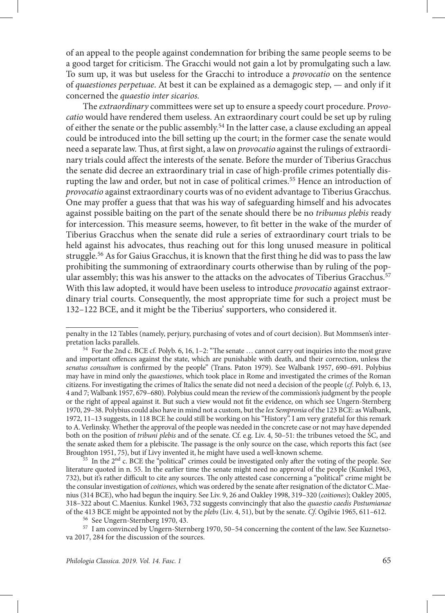of an appeal to the people against condemnation for bribing the same people seems to be a good target for criticism. The Gracchi would not gain a lot by promulgating such a law. To sum up, it was but useless for the Gracchi to introduce a *provocatio* on the sentence of *quaestiones perpetuae*. At best it can be explained as a demagogic step, — and only if it concerned the *quaestio inter sicarios.* 

The *extraordinary* committees were set up to ensure a speedy court procedure. P*rovocatio* would have rendered them useless. An extraordinary court could be set up by ruling of either the senate or the public assembly.<sup>54</sup> In the latter case, a clause excluding an appeal could be introduced into the bill setting up the court; in the former case the senate would need a separate law. Thus, at first sight, a law on *provocatio* against the rulings of extraordinary trials could affect the interests of the senate. Before the murder of Tiberius Gracchus the senate did decree an extraordinary trial in case of high-profile crimes potentially disrupting the law and order, but not in case of political crimes.55 Hence an introduction of *provocatio* against extraordinary courts was of no evident advantage to Tiberius Gracchus. One may proffer a guess that that was his way of safeguarding himself and his advocates against possible baiting on the part of the senate should there be no *tribunus plebis* ready for intercession. This measure seems, however, to fit better in the wake of the murder of Tiberius Gracchus when the senate did rule a series of extraordinary court trials to be held against his advocates, thus reaching out for this long unused measure in political struggle.56 As for Gaius Gracchus, it is known that the first thing he did was to pass the law prohibiting the summoning of extraordinary courts otherwise than by ruling of the popular assembly; this was his answer to the attacks on the advocates of Tiberius Gracchus.<sup>57</sup> With this law adopted, it would have been useless to introduce *provocatio* against extraordinary trial courts. Consequently, the most appropriate time for such a project must be 132–122 BCE, and it might be the Tiberius' supporters, who considered it.

penalty in the 12 Tables (namely, perjury, purchasing of votes and of court decision). But Mommsen's inter-

 $54$  For the 2nd c. BCE cf. Polyb. 6, 16, 1–2: "The senate  $\ldots$  cannot carry out inquiries into the most grave and important offences against the state, which are punishable with death, and their correction, unless the *senatus consultum* is confirmed by the people" (Trans. Paton 1979). See Walbank 1957, 690–691. Polybius may have in mind only the *quaestiones*, which took place in Rome and investigated the crimes of the Roman citizens. For investigating the crimes of Italics the senate did not need a decision of the people (*cf*. Polyb. 6, 13, 4 and 7; Walbank 1957, 679–680). Polybius could mean the review of the commission's judgment by the people or the right of appeal against it. But such a view would not fit the evidence, on which see Ungern-Sternberg 1970, 29–38. Polybius could also have in mind not a custom, but the *lex Sempronia* of the 123 BCE: as Walbank, 1972, 11–13 suggests, in 118 BCE he could still be working on his "History". I am very grateful for this remark to A.Verlinsky. Whether the approval of the people was needed in the concrete case or not may have depended both on the position of *tribuni plebis* and of the senate. Cf. e.g. Liv. 4, 50–51: the tribunes vetoed the SC, and the senate asked them for a plebiscite. The passage is the only source on the case, which reports this fact (see<br>Broughton 1951, 75), but if Livy invented it, he might have used a well-known scheme.

 $55$  In the  $2<sup>nd</sup>$  c. BCE the "political" crimes could be investigated only after the voting of the people. See literature quoted in n. 55. In the earlier time the senate might need no approval of the people (Kunkel 1963, 732), but it's rather difficult to cite any sources. The only attested case concerning a "political" crime might be the consular investigation of *coitiones*, which was ordered by the senate after resignation of the dictator C.Maenius (314 BCE), who had begun the inquiry. See Liv. 9, 26 and Oakley 1998, 319–320 (*coitiones*); Oakley 2005, 318–322 about C.Maenius. Kunkel 1963, 732 suggests convincingly that also the *quaestio caedis Postumianae* 

<sup>&</sup>lt;sup>56</sup> See Ungern-Sternberg 1970, 43.<br><sup>57</sup> I am convinced by Ungern-Sternberg 1970, 50–54 concerning the content of the law. See Kuznetsova 2017, 284 for the discussion of the sources.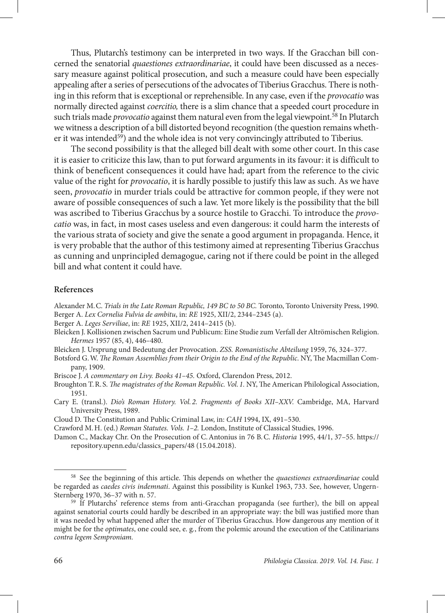Thus, Plutarch's testimony can be interpreted in two ways. If the Gracchan bill concerned the senatorial *quaestiones extraordinariae*, it could have been discussed as a necessary measure against political prosecution, and such a measure could have been especially appealing after a series of persecutions of the advocates of Tiberius Gracchus. There is nothing in this reform that is exceptional or reprehensible. In any case, even if the *provocatio* was normally directed against *coercitio,* there is a slim chance that a speeded court procedure in such trials made *provocatio* against them natural even from the legal viewpoint.58 In Plutarch we witness a description of a bill distorted beyond recognition (the question remains whether it was intended<sup>59</sup>) and the whole idea is not very convincingly attributed to Tiberius.

The second possibility is that the alleged bill dealt with some other court. In this case it is easier to criticize this law, than to put forward arguments in its favour: it is difficult to think of beneficent consequences it could have had; apart from the reference to the civic value of the right for *provocatio*, it is hardly possible to justify this law as such. As we have seen, *provocatio* in murder trials could be attractive for common people, if they were not aware of possible consequences of such a law. Yet more likely is the possibility that the bill was ascribed to Tiberius Gracchus by a source hostile to Gracchi. To introduce the *provocatio* was, in fact, in most cases useless and even dangerous: it could harm the interests of the various strata of society and give the senate a good argument in propaganda. Hence, it is very probable that the author of this testimony aimed at representing Tiberius Gracchus as cunning and unprincipled demagogue, caring not if there could be point in the alleged bill and what content it could have.

## **References**

Alexander M.C. *Trials in the Late Roman Republic, 149 BC to 50 BC.* Toronto, Toronto University Press, 1990. Berger A. *Lex Cornelia Fulvia de ambitu*, in: *RE* 1925, XII/2, 2344–2345 (a).

Berger A. *Leges Serviliae*, in: *RE* 1925, XII/2, 2414–2415 (b).

Bleicken J. Kollisionen zwischen Sacrum und Publicum: Eine Studie zum Verfall der Altrömischen Religion. *Hermes* 1957 (85, 4), 446–480.

Bleicken J. Ursprung und Bedeutung der Provoсation. *ZSS. Romanistische Abteilung* 1959, 76, 324–377.

Botsford G.W. *The Roman Assemblies from their Origin to the End of the Republic*. NY, The Macmillan Company, 1909.

Briscoe J. *A commentary on Livy. Books 41–45.* Oxford, Clarendon Press, 2012.

Broughton T.R. S. *The magistrates of the Roman Republic. Vol. 1.* NY, The American Philological Association, 1951.

Cary E. (transl.). *Dio's Roman History. Vol. 2. Fragments of Books XII–XXV.* Cambridge, MA, Harvard University Press, 1989.

Cloud D. The Constitution and Public Criminal Law, in: *CAH* 1994, IX, 491–530.

Crawford M.H. (ed.) *Roman Statutes. Vols. 1–2.* London, Institute of Classical Studies, 1996.

Damon C., Mackay Chr. On the Prosecution of C.Antonius in 76 B.C. *Historia* 1995, 44/1, 37–55. [https://](https://repository.upenn.edu/classics_papers/48) [repository.upenn.edu/classics\\_papers/48](https://repository.upenn.edu/classics_papers/48) (15.04.2018).

<sup>58</sup> See the beginning of this article. This depends on whether the *quaestiones extraordinariae* could be regarded as *caedes civis indemnati*. Against this possibility is Kunkel 1963, 733. See, however, Ungern-Sternberg 1970, 36–37 with n. 57.<br><sup>59</sup> If Plutarchs' reference stems from anti-Gracchan propaganda (see further), the bill on appeal

against senatorial courts could hardly be described in an appropriate way: the bill was justified more than it was needed by what happened after the murder of Tiberius Gracchus. How dangerous any mention of it might be for the *optimates*, one could see, e. g*.*, from the polemic around the execution of the Catilinarians *contra legem Semproniam.*